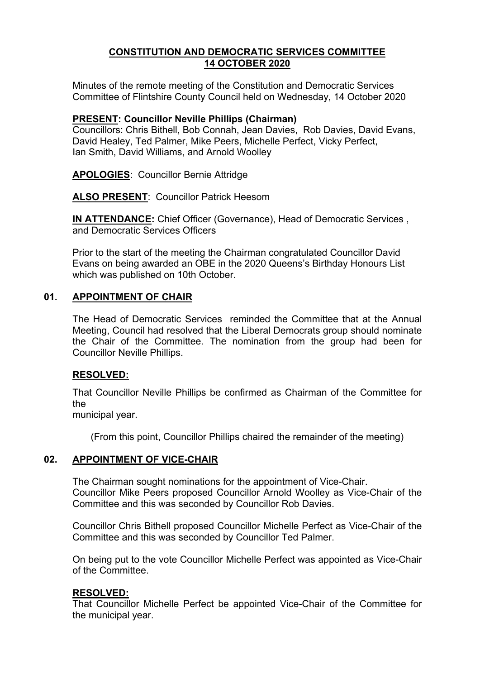## **CONSTITUTION AND DEMOCRATIC SERVICES COMMITTEE 14 OCTOBER 2020**

Minutes of the remote meeting of the Constitution and Democratic Services Committee of Flintshire County Council held on Wednesday, 14 October 2020

#### **PRESENT: Councillor Neville Phillips (Chairman)**

Councillors: Chris Bithell, Bob Connah, Jean Davies, Rob Davies, David Evans, David Healey, Ted Palmer, Mike Peers, Michelle Perfect, Vicky Perfect, Ian Smith, David Williams, and Arnold Woolley

**APOLOGIES**: Councillor Bernie Attridge

**ALSO PRESENT**: Councillor Patrick Heesom

**IN ATTENDANCE:** Chief Officer (Governance), Head of Democratic Services , and Democratic Services Officers

Prior to the start of the meeting the Chairman congratulated Councillor David Evans on being awarded an OBE in the 2020 Queens's Birthday Honours List which was published on 10th October.

### **01. APPOINTMENT OF CHAIR**

The Head of Democratic Services reminded the Committee that at the Annual Meeting, Council had resolved that the Liberal Democrats group should nominate the Chair of the Committee. The nomination from the group had been for Councillor Neville Phillips.

#### **RESOLVED:**

That Councillor Neville Phillips be confirmed as Chairman of the Committee for the

municipal year.

(From this point, Councillor Phillips chaired the remainder of the meeting)

### **02. APPOINTMENT OF VICE-CHAIR**

The Chairman sought nominations for the appointment of Vice-Chair. Councillor Mike Peers proposed Councillor Arnold Woolley as Vice-Chair of the Committee and this was seconded by Councillor Rob Davies.

Councillor Chris Bithell proposed Councillor Michelle Perfect as Vice-Chair of the Committee and this was seconded by Councillor Ted Palmer.

On being put to the vote Councillor Michelle Perfect was appointed as Vice-Chair of the Committee.

#### **RESOLVED:**

That Councillor Michelle Perfect be appointed Vice-Chair of the Committee for the municipal year.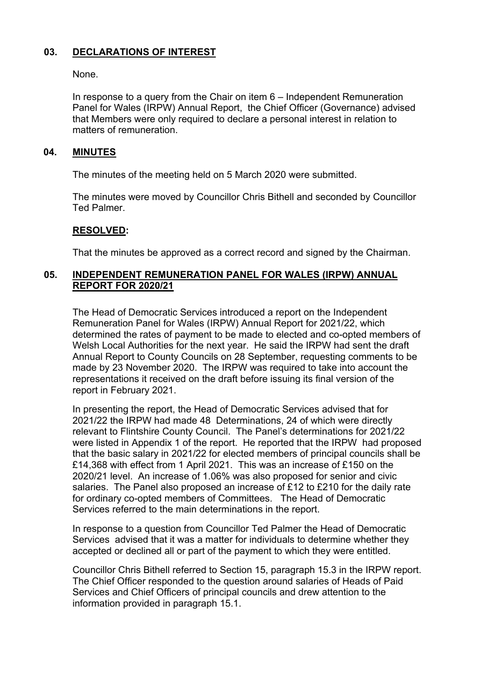# **03. DECLARATIONS OF INTEREST**

None.

In response to a query from the Chair on item 6 – Independent Remuneration Panel for Wales (IRPW) Annual Report, the Chief Officer (Governance) advised that Members were only required to declare a personal interest in relation to matters of remuneration.

## **04. MINUTES**

The minutes of the meeting held on 5 March 2020 were submitted.

The minutes were moved by Councillor Chris Bithell and seconded by Councillor Ted Palmer.

## **RESOLVED:**

That the minutes be approved as a correct record and signed by the Chairman.

# **05. INDEPENDENT REMUNERATION PANEL FOR WALES (IRPW) ANNUAL REPORT FOR 2020/21**

The Head of Democratic Services introduced a report on the Independent Remuneration Panel for Wales (IRPW) Annual Report for 2021/22, which determined the rates of payment to be made to elected and co-opted members of Welsh Local Authorities for the next year. He said the IRPW had sent the draft Annual Report to County Councils on 28 September, requesting comments to be made by 23 November 2020. The IRPW was required to take into account the representations it received on the draft before issuing its final version of the report in February 2021.

In presenting the report, the Head of Democratic Services advised that for 2021/22 the IRPW had made 48 Determinations, 24 of which were directly relevant to Flintshire County Council. The Panel's determinations for 2021/22 were listed in Appendix 1 of the report. He reported that the IRPW had proposed that the basic salary in 2021/22 for elected members of principal councils shall be £14,368 with effect from 1 April 2021. This was an increase of £150 on the 2020/21 level. An increase of 1.06% was also proposed for senior and civic salaries. The Panel also proposed an increase of £12 to £210 for the daily rate for ordinary co-opted members of Committees. The Head of Democratic Services referred to the main determinations in the report.

In response to a question from Councillor Ted Palmer the Head of Democratic Services advised that it was a matter for individuals to determine whether they accepted or declined all or part of the payment to which they were entitled.

Councillor Chris Bithell referred to Section 15, paragraph 15.3 in the IRPW report. The Chief Officer responded to the question around salaries of Heads of Paid Services and Chief Officers of principal councils and drew attention to the information provided in paragraph 15.1.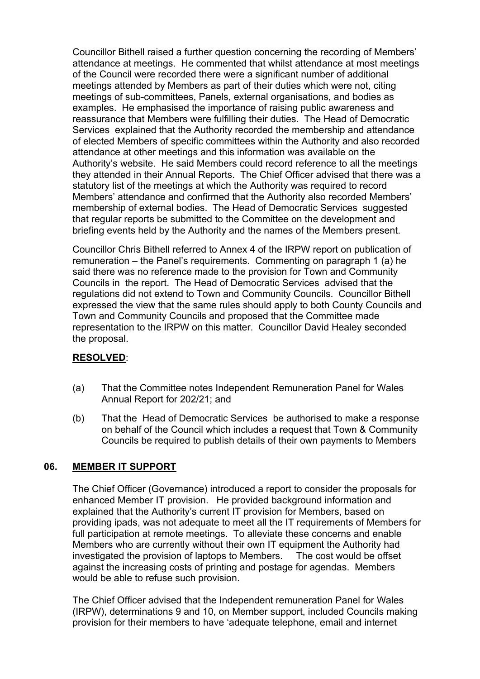Councillor Bithell raised a further question concerning the recording of Members' attendance at meetings. He commented that whilst attendance at most meetings of the Council were recorded there were a significant number of additional meetings attended by Members as part of their duties which were not, citing meetings of sub-committees, Panels, external organisations, and bodies as examples. He emphasised the importance of raising public awareness and reassurance that Members were fulfilling their duties. The Head of Democratic Services explained that the Authority recorded the membership and attendance of elected Members of specific committees within the Authority and also recorded attendance at other meetings and this information was available on the Authority's website. He said Members could record reference to all the meetings they attended in their Annual Reports. The Chief Officer advised that there was a statutory list of the meetings at which the Authority was required to record Members' attendance and confirmed that the Authority also recorded Members' membership of external bodies. The Head of Democratic Services suggested that regular reports be submitted to the Committee on the development and briefing events held by the Authority and the names of the Members present.

Councillor Chris Bithell referred to Annex 4 of the IRPW report on publication of remuneration – the Panel's requirements. Commenting on paragraph 1 (a) he said there was no reference made to the provision for Town and Community Councils in the report. The Head of Democratic Services advised that the regulations did not extend to Town and Community Councils. Councillor Bithell expressed the view that the same rules should apply to both County Councils and Town and Community Councils and proposed that the Committee made representation to the IRPW on this matter. Councillor David Healey seconded the proposal.

### **RESOLVED**:

- (a) That the Committee notes Independent Remuneration Panel for Wales Annual Report for 202/21; and
- (b) That the Head of Democratic Services be authorised to make a response on behalf of the Council which includes a request that Town & Community Councils be required to publish details of their own payments to Members

### **06. MEMBER IT SUPPORT**

 The Chief Officer (Governance) introduced a report to consider the proposals for enhanced Member IT provision. He provided background information and explained that the Authority's current IT provision for Members, based on providing ipads, was not adequate to meet all the IT requirements of Members for full participation at remote meetings. To alleviate these concerns and enable Members who are currently without their own IT equipment the Authority had investigated the provision of laptops to Members. The cost would be offset against the increasing costs of printing and postage for agendas. Members would be able to refuse such provision.

The Chief Officer advised that the Independent remuneration Panel for Wales (IRPW), determinations 9 and 10, on Member support, included Councils making provision for their members to have 'adequate telephone, email and internet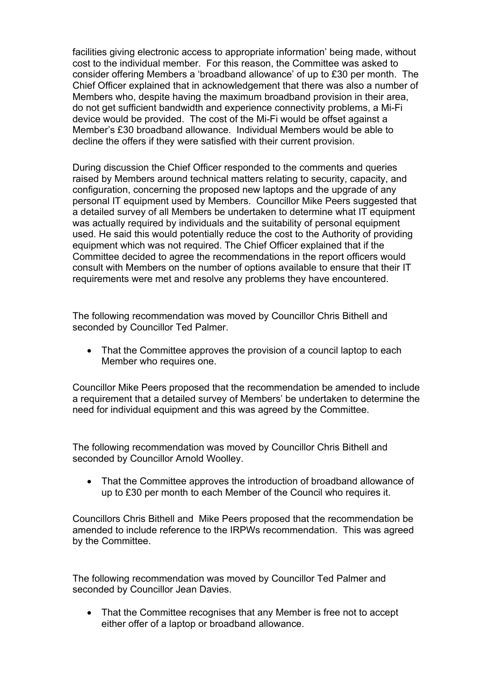facilities giving electronic access to appropriate information' being made, without cost to the individual member. For this reason, the Committee was asked to consider offering Members a 'broadband allowance' of up to £30 per month. The Chief Officer explained that in acknowledgement that there was also a number of Members who, despite having the maximum broadband provision in their area, do not get sufficient bandwidth and experience connectivity problems, a Mi-Fi device would be provided. The cost of the Mi-Fi would be offset against a Member's £30 broadband allowance. Individual Members would be able to decline the offers if they were satisfied with their current provision.

During discussion the Chief Officer responded to the comments and queries raised by Members around technical matters relating to security, capacity, and configuration, concerning the proposed new laptops and the upgrade of any personal IT equipment used by Members. Councillor Mike Peers suggested that a detailed survey of all Members be undertaken to determine what IT equipment was actually required by individuals and the suitability of personal equipment used. He said this would potentially reduce the cost to the Authority of providing equipment which was not required. The Chief Officer explained that if the Committee decided to agree the recommendations in the report officers would consult with Members on the number of options available to ensure that their IT requirements were met and resolve any problems they have encountered.

The following recommendation was moved by Councillor Chris Bithell and seconded by Councillor Ted Palmer.

 That the Committee approves the provision of a council laptop to each Member who requires one.

Councillor Mike Peers proposed that the recommendation be amended to include a requirement that a detailed survey of Members' be undertaken to determine the need for individual equipment and this was agreed by the Committee.

The following recommendation was moved by Councillor Chris Bithell and seconded by Councillor Arnold Woolley.

 That the Committee approves the introduction of broadband allowance of up to £30 per month to each Member of the Council who requires it.

Councillors Chris Bithell and Mike Peers proposed that the recommendation be amended to include reference to the IRPWs recommendation. This was agreed by the Committee.

The following recommendation was moved by Councillor Ted Palmer and seconded by Councillor Jean Davies.

 That the Committee recognises that any Member is free not to accept either offer of a laptop or broadband allowance.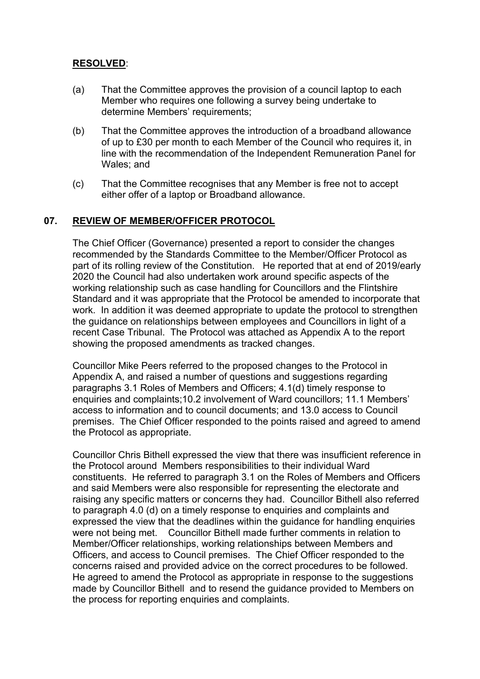# **RESOLVED**:

- (a) That the Committee approves the provision of a council laptop to each Member who requires one following a survey being undertake to determine Members' requirements;
- (b) That the Committee approves the introduction of a broadband allowance of up to £30 per month to each Member of the Council who requires it, in line with the recommendation of the Independent Remuneration Panel for Wales; and
- (c) That the Committee recognises that any Member is free not to accept either offer of a laptop or Broadband allowance.

## **07. REVIEW OF MEMBER/OFFICER PROTOCOL**

The Chief Officer (Governance) presented a report to consider the changes recommended by the Standards Committee to the Member/Officer Protocol as part of its rolling review of the Constitution. He reported that at end of 2019/early 2020 the Council had also undertaken work around specific aspects of the working relationship such as case handling for Councillors and the Flintshire Standard and it was appropriate that the Protocol be amended to incorporate that work. In addition it was deemed appropriate to update the protocol to strengthen the guidance on relationships between employees and Councillors in light of a recent Case Tribunal. The Protocol was attached as Appendix A to the report showing the proposed amendments as tracked changes.

Councillor Mike Peers referred to the proposed changes to the Protocol in Appendix A, and raised a number of questions and suggestions regarding paragraphs 3.1 Roles of Members and Officers; 4.1(d) timely response to enquiries and complaints;10.2 involvement of Ward councillors; 11.1 Members' access to information and to council documents; and 13.0 access to Council premises. The Chief Officer responded to the points raised and agreed to amend the Protocol as appropriate.

Councillor Chris Bithell expressed the view that there was insufficient reference in the Protocol around Members responsibilities to their individual Ward constituents. He referred to paragraph 3.1 on the Roles of Members and Officers and said Members were also responsible for representing the electorate and raising any specific matters or concerns they had. Councillor Bithell also referred to paragraph 4.0 (d) on a timely response to enquiries and complaints and expressed the view that the deadlines within the guidance for handling enquiries were not being met. Councillor Bithell made further comments in relation to Member/Officer relationships, working relationships between Members and Officers, and access to Council premises. The Chief Officer responded to the concerns raised and provided advice on the correct procedures to be followed. He agreed to amend the Protocol as appropriate in response to the suggestions made by Councillor Bithell and to resend the guidance provided to Members on the process for reporting enquiries and complaints.